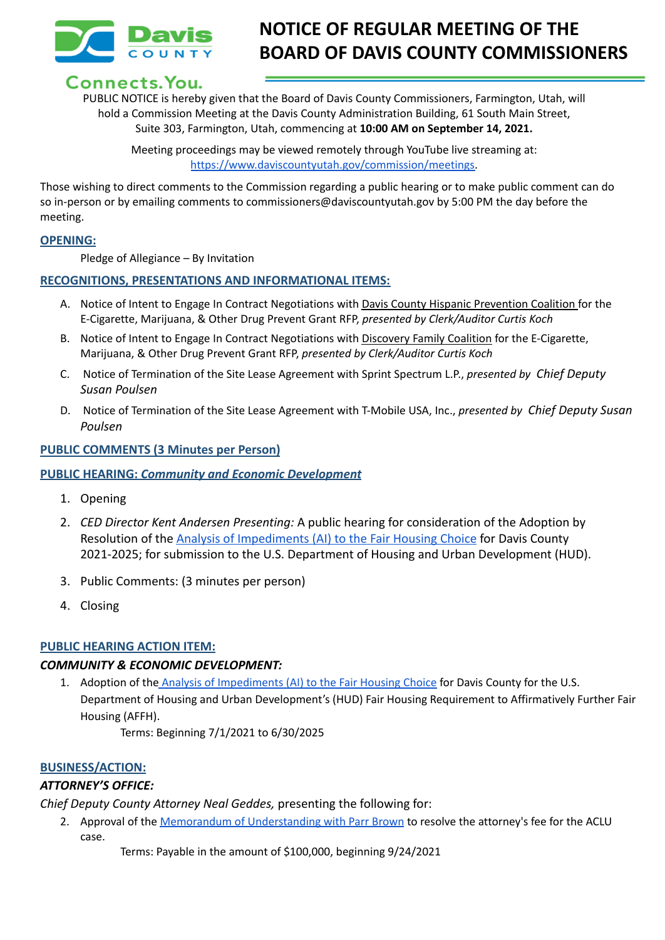

# **NOTICE OF REGULAR MEETING OF THE BOARD OF DAVIS COUNTY COMMISSIONERS**

# Connects. You.

PUBLIC NOTICE is hereby given that the Board of Davis County Commissioners, Farmington, Utah, will hold a Commission Meeting at the Davis County Administration Building, 61 South Main Street, Suite 303, Farmington, Utah, commencing at **10:00 AM on September 14, 2021.**

Meeting proceedings may be viewed remotely through YouTube live streaming at: [https://www.daviscountyutah.gov/commission/meetings.](https://www.daviscountyutah.gov/commission/meetings)

Those wishing to direct comments to the Commission regarding a public hearing or to make public comment can do so in-person or by emailing comments to commissioners@daviscountyutah.gov by 5:00 PM the day before the meeting.

#### **OPENING:**

Pledge of Allegiance – By Invitation

#### **RECOGNITIONS, PRESENTATIONS AND INFORMATIONAL ITEMS:**

- A. Notice of Intent to Engage In Contract Negotiations with Davis County Hispanic Prevention Coalition for the E-Cigarette, Marijuana, & Other Drug Prevent Grant RFP, *presented by Clerk/Auditor Curtis Koch*
- B. Notice of Intent to Engage In Contract Negotiations with Discovery Family Coalition for the E-Cigarette, Marijuana, & Other Drug Prevent Grant RFP, *presented by Clerk/Auditor Curtis Koch*
- C. Notice of Termination of the Site Lease Agreement with Sprint Spectrum L.P., *presented by Chief Deputy Susan Poulsen*
- D. Notice of Termination of the Site Lease Agreement with T-Mobile USA, Inc., *presented by Chief Deputy Susan Poulsen*

#### **PUBLIC COMMENTS (3 Minutes per Person)**

#### **PUBLIC HEARING:** *Community and Economic Development*

- 1. Opening
- 2. *CED Director Kent Andersen Presenting:* A public hearing for consideration of the Adoption by Resolution of the [Analysis of Impediments \(AI\) to](https://drive.google.com/file/d/1OHMJGvbuZNSN1ZTQ4Vfaesl1aqQjJeOf/view?usp=sharing) the Fair Housing Choice for Davis County 2021-2025; for submission to the U.S. Department of Housing and Urban Development (HUD).
- 3. Public Comments: (3 minutes per person)
- 4. Closing

#### **PUBLIC HEARING ACTION ITEM:**

#### *COMMUNITY & ECONOMIC DEVELOPMENT:*

1. Adoption of the Analysis of [Impediments](https://drive.google.com/file/d/1OHMJGvbuZNSN1ZTQ4Vfaesl1aqQjJeOf/view?usp=sharing) (AI) to the Fair Housing Choice for Davis County for the U.S. Department of Housing and Urban Development's (HUD) Fair Housing Requirement to Affirmatively Further Fair Housing (AFFH).

Terms: Beginning 7/1/2021 to 6/30/2025

#### **BUSINESS/ACTION:**

## *ATTORNEY'S OFFICE:*

*Chief Deputy County Attorney Neal Geddes,* presenting the following for:

- 2. Approval of the Memorandum of [Understanding](https://drive.google.com/file/d/1yKKktD48zTxv3IiRDbMjPFEB5A3-y35G/view?usp=sharing) with Parr Brown to resolve the attorney's fee for the ACLU case.
	- Terms: Payable in the amount of \$100,000, beginning 9/24/2021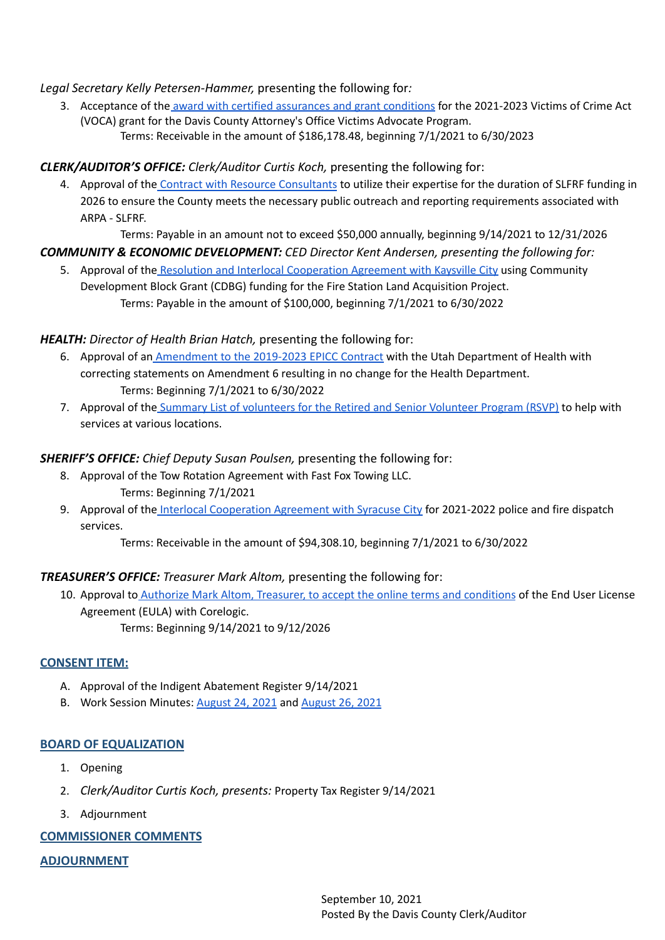#### *Legal Secretary Kelly Petersen-Hammer,* presenting the following for*:*

3. Acceptance of the award with certified [assurances](https://drive.google.com/file/d/1GcCyUVElkBu8jsaOEQF0cg9tEmTlBYjo/view?usp=sharing) and grant conditions for the 2021-2023 Victims of Crime Act (VOCA) grant for the Davis County Attorney's Office Victims Advocate Program. Terms: Receivable in the amount of \$186,178.48, beginning 7/1/2021 to 6/30/2023

### *CLERK/AUDITOR'S OFFICE: Clerk/Auditor Curtis Koch,* presenting the following for:

4. Approval of the Contract with Resource [Consultants](https://drive.google.com/file/d/1tMQDm7wOfEWyrtV-b4tafDkUgj1xStDm/view?usp=sharing) to utilize their expertise for the duration of SLFRF funding in 2026 to ensure the County meets the necessary public outreach and reporting requirements associated with ARPA - SLFRF.

Terms: Payable in an amount not to exceed \$50,000 annually, beginning 9/14/2021 to 12/31/2026

# *COMMUNITY & ECONOMIC DEVELOPMENT: CED Director Kent Andersen, presenting the following for:*

5. Approval of the Resolution and Interlocal [Cooperation](https://drive.google.com/file/d/1JDABo9ruFbFGd_emEVcNPMbvIDFbv1he/view?usp=sharing) Agreement with Kaysville City using Community Development Block Grant (CDBG) funding for the Fire Station Land Acquisition Project. Terms: Payable in the amount of \$100,000, beginning 7/1/2021 to 6/30/2022

#### *HEALTH: Director of Health Brian Hatch,* presenting the following for:

- 6. Approval of an [Amendment](https://drive.google.com/file/d/1UMnc_-2y6Dmk7kwI0aCp2G2ITO4oZ5Oq/view?usp=sharing) to the 2019-2023 EPICC Contract with the Utah Department of Health with correcting statements on Amendment 6 resulting in no change for the Health Department. Terms: Beginning 7/1/2021 to 6/30/2022
- 7. Approval of the Summary List of [volunteers](https://drive.google.com/file/d/10qsaVlRnocEHsMNsIkwNH9W6en-sUdL2/view?usp=sharing) for the Retired and Senior Volunteer Program (RSVP) to help with services at various locations.

#### *SHERIFF'S OFFICE: Chief Deputy Susan Poulsen,* presenting the following for:

- 8. Approval of the Tow Rotation Agreement with Fast Fox Towing LLC. Terms: Beginning 7/1/2021
- 9. Approval of the Interlocal [Cooperation](https://drive.google.com/file/d/1RMwi_KRDQZ-t5sixUDI7chUHGjXDopIL/view?usp=sharing) Agreement with Syracuse City for 2021-2022 police and fire dispatch services.

Terms: Receivable in the amount of \$94,308.10, beginning 7/1/2021 to 6/30/2022

#### *TREASURER'S OFFICE: Treasurer Mark Altom,* presenting the following for:

10. Approval to **Authorize Mark Altom, Treasurer, to accept the online terms and [conditions](https://drive.google.com/file/d/1Ju93Fi7ggJb3xE-dDx9Dzw_1D4Rm3nag/view?usp=sharing) of the End User License** Agreement (EULA) with Corelogic. Terms: Beginning 9/14/2021 to 9/12/2026

#### **CONSENT ITEM:**

- A. Approval of the Indigent Abatement Register 9/14/2021
- B. Work Session Minutes: [August](https://drive.google.com/file/d/1cdddI3recDXTLEbLeRd14Ih8H73qriON/view?usp=sharing) 24, 2021 and [August](https://drive.google.com/file/d/1VVDmihjFiMnLiJltm0hRvEaAaFOGDqhf/view?usp=sharing) 26, 2021

#### **BOARD OF EQUALIZATION**

- 1. Opening
- 2. *Clerk/Auditor Curtis Koch, presents:* Property Tax Register 9/14/2021
- 3. Adjournment

#### **COMMISSIONER COMMENTS**

**ADJOURNMENT**